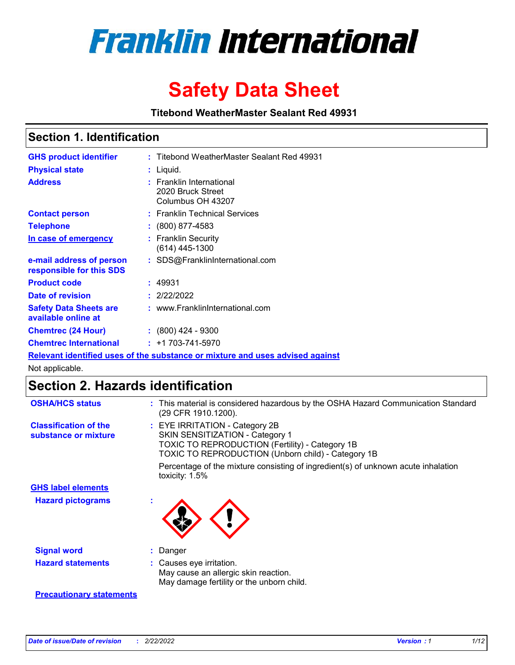

# **Safety Data Sheet**

**Titebond WeatherMaster Sealant Red 49931**

### **Section 1. Identification**

| <b>GHS product identifier</b>                                                 |  | : Titebond WeatherMaster Sealant Red 49931                         |  |  |  |
|-------------------------------------------------------------------------------|--|--------------------------------------------------------------------|--|--|--|
| <b>Physical state</b>                                                         |  | : Liquid.                                                          |  |  |  |
| <b>Address</b>                                                                |  | : Franklin International<br>2020 Bruck Street<br>Columbus OH 43207 |  |  |  |
| <b>Contact person</b>                                                         |  | : Franklin Technical Services                                      |  |  |  |
| <b>Telephone</b>                                                              |  | $\colon$ (800) 877-4583                                            |  |  |  |
| In case of emergency                                                          |  | : Franklin Security<br>$(614)$ 445-1300                            |  |  |  |
| e-mail address of person<br>responsible for this SDS                          |  | : SDS@FranklinInternational.com                                    |  |  |  |
| <b>Product code</b>                                                           |  | : 49931                                                            |  |  |  |
| Date of revision                                                              |  | : 2/22/2022                                                        |  |  |  |
| <b>Safety Data Sheets are</b><br>available online at                          |  | : www.FranklinInternational.com                                    |  |  |  |
| <b>Chemtrec (24 Hour)</b>                                                     |  | $: (800)$ 424 - 9300                                               |  |  |  |
| <b>Chemtrec International</b>                                                 |  | $: +1703 - 741 - 5970$                                             |  |  |  |
| Relevant identified uses of the substance or mixture and uses advised against |  |                                                                    |  |  |  |

Not applicable.

## **Section 2. Hazards identification**

| <b>OSHA/HCS status</b>                               | : This material is considered hazardous by the OSHA Hazard Communication Standard<br>(29 CFR 1910.1200).                                                                                 |
|------------------------------------------------------|------------------------------------------------------------------------------------------------------------------------------------------------------------------------------------------|
| <b>Classification of the</b><br>substance or mixture | : EYE IRRITATION - Category 2B<br>SKIN SENSITIZATION - Category 1<br><b>TOXIC TO REPRODUCTION (Fertility) - Category 1B</b><br><b>TOXIC TO REPRODUCTION (Unborn child) - Category 1B</b> |
|                                                      | Percentage of the mixture consisting of ingredient(s) of unknown acute inhalation<br>toxicity: $1.5\%$                                                                                   |
| <b>GHS label elements</b>                            |                                                                                                                                                                                          |
| <b>Hazard pictograms</b>                             |                                                                                                                                                                                          |
| <b>Signal word</b>                                   | : Danger                                                                                                                                                                                 |
| <b>Hazard statements</b>                             | : Causes eye irritation.<br>May cause an allergic skin reaction.<br>May damage fertility or the unborn child.                                                                            |
| <b>Precautionary statements</b>                      |                                                                                                                                                                                          |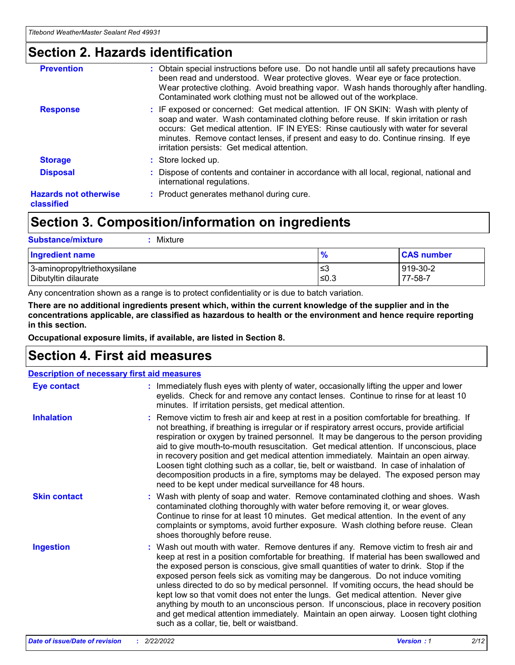### **Section 2. Hazards identification**

| <b>Prevention</b>                          | : Obtain special instructions before use. Do not handle until all safety precautions have<br>been read and understood. Wear protective gloves. Wear eye or face protection.<br>Wear protective clothing. Avoid breathing vapor. Wash hands thoroughly after handling.<br>Contaminated work clothing must not be allowed out of the workplace.                                                        |
|--------------------------------------------|------------------------------------------------------------------------------------------------------------------------------------------------------------------------------------------------------------------------------------------------------------------------------------------------------------------------------------------------------------------------------------------------------|
| <b>Response</b>                            | : IF exposed or concerned: Get medical attention. IF ON SKIN: Wash with plenty of<br>soap and water. Wash contaminated clothing before reuse. If skin irritation or rash<br>occurs: Get medical attention. IF IN EYES: Rinse cautiously with water for several<br>minutes. Remove contact lenses, if present and easy to do. Continue rinsing. If eye<br>irritation persists: Get medical attention. |
| <b>Storage</b>                             | : Store locked up.                                                                                                                                                                                                                                                                                                                                                                                   |
| <b>Disposal</b>                            | : Dispose of contents and container in accordance with all local, regional, national and<br>international regulations.                                                                                                                                                                                                                                                                               |
| <b>Hazards not otherwise</b><br>classified | : Product generates methanol during cure.                                                                                                                                                                                                                                                                                                                                                            |
|                                            |                                                                                                                                                                                                                                                                                                                                                                                                      |

## **Section 3. Composition/information on ingredients**

| <b>Substance/mixture</b><br>Mixture                  |               |                     |
|------------------------------------------------------|---------------|---------------------|
| <b>Ingredient name</b>                               | $\frac{9}{6}$ | <b>CAS number</b>   |
| 3-aminopropyltriethoxysilane<br>Dibutyltin dilaurate | ≤3<br>$≤0.3$  | 919-30-2<br>77-58-7 |

Any concentration shown as a range is to protect confidentiality or is due to batch variation.

**There are no additional ingredients present which, within the current knowledge of the supplier and in the concentrations applicable, are classified as hazardous to health or the environment and hence require reporting in this section.**

**Occupational exposure limits, if available, are listed in Section 8.**

### **Section 4. First aid measures**

| <b>Description of necessary first aid measures</b> |                                                                                                                                                                                                                                                                                                                                                                                                                                                                                                                                                                                                                                                                                                                                                                           |  |  |  |
|----------------------------------------------------|---------------------------------------------------------------------------------------------------------------------------------------------------------------------------------------------------------------------------------------------------------------------------------------------------------------------------------------------------------------------------------------------------------------------------------------------------------------------------------------------------------------------------------------------------------------------------------------------------------------------------------------------------------------------------------------------------------------------------------------------------------------------------|--|--|--|
| <b>Eye contact</b>                                 | : Immediately flush eyes with plenty of water, occasionally lifting the upper and lower<br>eyelids. Check for and remove any contact lenses. Continue to rinse for at least 10<br>minutes. If irritation persists, get medical attention.                                                                                                                                                                                                                                                                                                                                                                                                                                                                                                                                 |  |  |  |
| <b>Inhalation</b>                                  | : Remove victim to fresh air and keep at rest in a position comfortable for breathing. If<br>not breathing, if breathing is irregular or if respiratory arrest occurs, provide artificial<br>respiration or oxygen by trained personnel. It may be dangerous to the person providing<br>aid to give mouth-to-mouth resuscitation. Get medical attention. If unconscious, place<br>in recovery position and get medical attention immediately. Maintain an open airway.<br>Loosen tight clothing such as a collar, tie, belt or waistband. In case of inhalation of<br>decomposition products in a fire, symptoms may be delayed. The exposed person may<br>need to be kept under medical surveillance for 48 hours.                                                       |  |  |  |
| <b>Skin contact</b>                                | : Wash with plenty of soap and water. Remove contaminated clothing and shoes. Wash<br>contaminated clothing thoroughly with water before removing it, or wear gloves.<br>Continue to rinse for at least 10 minutes. Get medical attention. In the event of any<br>complaints or symptoms, avoid further exposure. Wash clothing before reuse. Clean<br>shoes thoroughly before reuse.                                                                                                                                                                                                                                                                                                                                                                                     |  |  |  |
| <b>Ingestion</b>                                   | : Wash out mouth with water. Remove dentures if any. Remove victim to fresh air and<br>keep at rest in a position comfortable for breathing. If material has been swallowed and<br>the exposed person is conscious, give small quantities of water to drink. Stop if the<br>exposed person feels sick as vomiting may be dangerous. Do not induce vomiting<br>unless directed to do so by medical personnel. If vomiting occurs, the head should be<br>kept low so that vomit does not enter the lungs. Get medical attention. Never give<br>anything by mouth to an unconscious person. If unconscious, place in recovery position<br>and get medical attention immediately. Maintain an open airway. Loosen tight clothing<br>such as a collar, tie, belt or waistband. |  |  |  |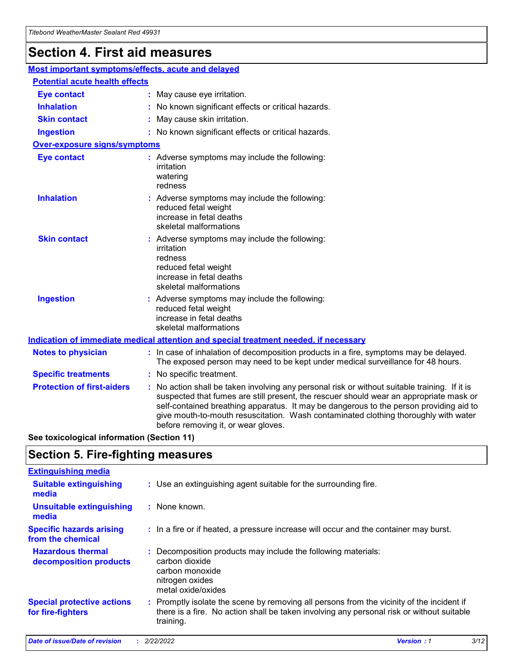## **Section 4. First aid measures**

| Most important symptoms/effects, acute and delayed |  |                                                                                                                                                                                                                                                                                                                                                                                                                 |  |
|----------------------------------------------------|--|-----------------------------------------------------------------------------------------------------------------------------------------------------------------------------------------------------------------------------------------------------------------------------------------------------------------------------------------------------------------------------------------------------------------|--|
| <b>Potential acute health effects</b>              |  |                                                                                                                                                                                                                                                                                                                                                                                                                 |  |
| Eye contact                                        |  | : May cause eye irritation.                                                                                                                                                                                                                                                                                                                                                                                     |  |
| <b>Inhalation</b>                                  |  | : No known significant effects or critical hazards.                                                                                                                                                                                                                                                                                                                                                             |  |
| <b>Skin contact</b>                                |  | : May cause skin irritation.                                                                                                                                                                                                                                                                                                                                                                                    |  |
| <b>Ingestion</b>                                   |  | : No known significant effects or critical hazards.                                                                                                                                                                                                                                                                                                                                                             |  |
| <b>Over-exposure signs/symptoms</b>                |  |                                                                                                                                                                                                                                                                                                                                                                                                                 |  |
| <b>Eye contact</b>                                 |  | : Adverse symptoms may include the following:<br>irritation<br>watering<br>redness                                                                                                                                                                                                                                                                                                                              |  |
| <b>Inhalation</b>                                  |  | : Adverse symptoms may include the following:<br>reduced fetal weight<br>increase in fetal deaths<br>skeletal malformations                                                                                                                                                                                                                                                                                     |  |
| <b>Skin contact</b>                                |  | : Adverse symptoms may include the following:<br>irritation<br>redness<br>reduced fetal weight<br>increase in fetal deaths<br>skeletal malformations                                                                                                                                                                                                                                                            |  |
| <b>Ingestion</b>                                   |  | : Adverse symptoms may include the following:<br>reduced fetal weight<br>increase in fetal deaths<br>skeletal malformations                                                                                                                                                                                                                                                                                     |  |
|                                                    |  | <b>Indication of immediate medical attention and special treatment needed, if necessary</b>                                                                                                                                                                                                                                                                                                                     |  |
| <b>Notes to physician</b>                          |  | : In case of inhalation of decomposition products in a fire, symptoms may be delayed.<br>The exposed person may need to be kept under medical surveillance for 48 hours.                                                                                                                                                                                                                                        |  |
| <b>Specific treatments</b>                         |  | : No specific treatment.                                                                                                                                                                                                                                                                                                                                                                                        |  |
| <b>Protection of first-aiders</b>                  |  | : No action shall be taken involving any personal risk or without suitable training. If it is<br>suspected that fumes are still present, the rescuer should wear an appropriate mask or<br>self-contained breathing apparatus. It may be dangerous to the person providing aid to<br>give mouth-to-mouth resuscitation. Wash contaminated clothing thoroughly with water<br>before removing it, or wear gloves. |  |

**See toxicological information (Section 11)**

### **Section 5. Fire-fighting measures**

| <b>Extinguishing media</b>                             |                                                                                                                                                                                                     |
|--------------------------------------------------------|-----------------------------------------------------------------------------------------------------------------------------------------------------------------------------------------------------|
| <b>Suitable extinguishing</b><br>media                 | : Use an extinguishing agent suitable for the surrounding fire.                                                                                                                                     |
| <b>Unsuitable extinguishing</b><br>media               | : None known.                                                                                                                                                                                       |
| <b>Specific hazards arising</b><br>from the chemical   | : In a fire or if heated, a pressure increase will occur and the container may burst.                                                                                                               |
| <b>Hazardous thermal</b><br>decomposition products     | : Decomposition products may include the following materials:<br>carbon dioxide<br>carbon monoxide<br>nitrogen oxides<br>metal oxide/oxides                                                         |
| <b>Special protective actions</b><br>for fire-fighters | : Promptly isolate the scene by removing all persons from the vicinity of the incident if<br>there is a fire. No action shall be taken involving any personal risk or without suitable<br>training. |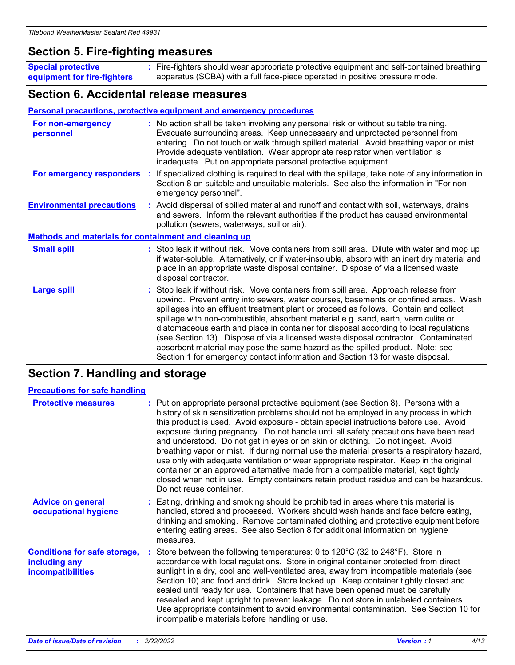### **Section 5. Fire-fighting measures**

**Special protective equipment for fire-fighters** Fire-fighters should wear appropriate protective equipment and self-contained breathing **:** apparatus (SCBA) with a full face-piece operated in positive pressure mode.

### **Section 6. Accidental release measures**

#### **Personal precautions, protective equipment and emergency procedures**

| For non-emergency<br>personnel   |                                                              | : No action shall be taken involving any personal risk or without suitable training.<br>Evacuate surrounding areas. Keep unnecessary and unprotected personnel from<br>entering. Do not touch or walk through spilled material. Avoid breathing vapor or mist.<br>Provide adequate ventilation. Wear appropriate respirator when ventilation is<br>inadequate. Put on appropriate personal protective equipment.                                                                                                                                                                                                                                                                                             |  |  |  |
|----------------------------------|--------------------------------------------------------------|--------------------------------------------------------------------------------------------------------------------------------------------------------------------------------------------------------------------------------------------------------------------------------------------------------------------------------------------------------------------------------------------------------------------------------------------------------------------------------------------------------------------------------------------------------------------------------------------------------------------------------------------------------------------------------------------------------------|--|--|--|
| For emergency responders         |                                                              | : If specialized clothing is required to deal with the spillage, take note of any information in<br>Section 8 on suitable and unsuitable materials. See also the information in "For non-<br>emergency personnel".                                                                                                                                                                                                                                                                                                                                                                                                                                                                                           |  |  |  |
| <b>Environmental precautions</b> |                                                              | : Avoid dispersal of spilled material and runoff and contact with soil, waterways, drains<br>and sewers. Inform the relevant authorities if the product has caused environmental<br>pollution (sewers, waterways, soil or air).                                                                                                                                                                                                                                                                                                                                                                                                                                                                              |  |  |  |
|                                  | <b>Methods and materials for containment and cleaning up</b> |                                                                                                                                                                                                                                                                                                                                                                                                                                                                                                                                                                                                                                                                                                              |  |  |  |
| <b>Small spill</b>               |                                                              | : Stop leak if without risk. Move containers from spill area. Dilute with water and mop up<br>if water-soluble. Alternatively, or if water-insoluble, absorb with an inert dry material and<br>place in an appropriate waste disposal container. Dispose of via a licensed waste<br>disposal contractor.                                                                                                                                                                                                                                                                                                                                                                                                     |  |  |  |
| <b>Large spill</b>               |                                                              | : Stop leak if without risk. Move containers from spill area. Approach release from<br>upwind. Prevent entry into sewers, water courses, basements or confined areas. Wash<br>spillages into an effluent treatment plant or proceed as follows. Contain and collect<br>spillage with non-combustible, absorbent material e.g. sand, earth, vermiculite or<br>diatomaceous earth and place in container for disposal according to local regulations<br>(see Section 13). Dispose of via a licensed waste disposal contractor. Contaminated<br>absorbent material may pose the same hazard as the spilled product. Note: see<br>Section 1 for emergency contact information and Section 13 for waste disposal. |  |  |  |

### **Section 7. Handling and storage**

| <b>Precautions for safe handling</b>                                             |                                                                                                                                                                                                                                                                                                                                                                                                                                                                                                                                                                                                                                                                                                                                                                                                                                                  |
|----------------------------------------------------------------------------------|--------------------------------------------------------------------------------------------------------------------------------------------------------------------------------------------------------------------------------------------------------------------------------------------------------------------------------------------------------------------------------------------------------------------------------------------------------------------------------------------------------------------------------------------------------------------------------------------------------------------------------------------------------------------------------------------------------------------------------------------------------------------------------------------------------------------------------------------------|
| <b>Protective measures</b>                                                       | : Put on appropriate personal protective equipment (see Section 8). Persons with a<br>history of skin sensitization problems should not be employed in any process in which<br>this product is used. Avoid exposure - obtain special instructions before use. Avoid<br>exposure during pregnancy. Do not handle until all safety precautions have been read<br>and understood. Do not get in eyes or on skin or clothing. Do not ingest. Avoid<br>breathing vapor or mist. If during normal use the material presents a respiratory hazard,<br>use only with adequate ventilation or wear appropriate respirator. Keep in the original<br>container or an approved alternative made from a compatible material, kept tightly<br>closed when not in use. Empty containers retain product residue and can be hazardous.<br>Do not reuse container. |
| <b>Advice on general</b><br>occupational hygiene                                 | : Eating, drinking and smoking should be prohibited in areas where this material is<br>handled, stored and processed. Workers should wash hands and face before eating,<br>drinking and smoking. Remove contaminated clothing and protective equipment before<br>entering eating areas. See also Section 8 for additional information on hygiene<br>measures.                                                                                                                                                                                                                                                                                                                                                                                                                                                                                    |
| <b>Conditions for safe storage,</b><br>including any<br><b>incompatibilities</b> | Store between the following temperatures: 0 to 120°C (32 to 248°F). Store in<br>accordance with local regulations. Store in original container protected from direct<br>sunlight in a dry, cool and well-ventilated area, away from incompatible materials (see<br>Section 10) and food and drink. Store locked up. Keep container tightly closed and<br>sealed until ready for use. Containers that have been opened must be carefully<br>resealed and kept upright to prevent leakage. Do not store in unlabeled containers.<br>Use appropriate containment to avoid environmental contamination. See Section 10 for<br>incompatible materials before handling or use.                                                                                                                                                                         |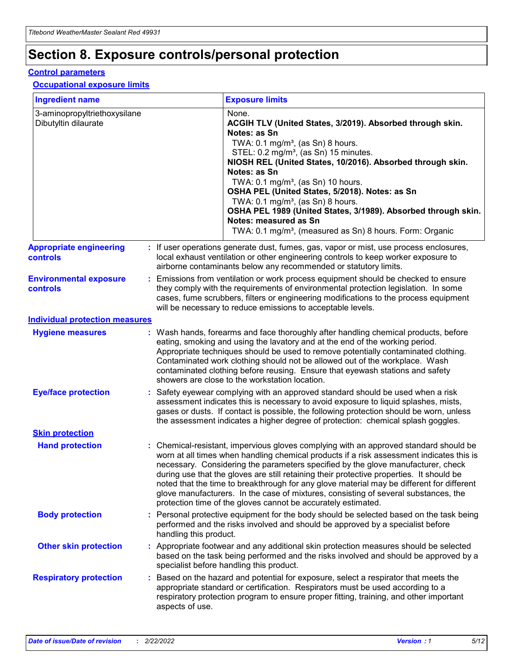## **Section 8. Exposure controls/personal protection**

#### **Control parameters**

#### **Occupational exposure limits**

| <b>Ingredient name</b>                               |    |                        | <b>Exposure limits</b>                                                                                                                                                                                                                                                                                                                                                                                                                                                                                                                                                                                                 |
|------------------------------------------------------|----|------------------------|------------------------------------------------------------------------------------------------------------------------------------------------------------------------------------------------------------------------------------------------------------------------------------------------------------------------------------------------------------------------------------------------------------------------------------------------------------------------------------------------------------------------------------------------------------------------------------------------------------------------|
| 3-aminopropyltriethoxysilane<br>Dibutyltin dilaurate |    |                        | None.<br>ACGIH TLV (United States, 3/2019). Absorbed through skin.<br>Notes: as Sn<br>TWA: 0.1 mg/m <sup>3</sup> , (as Sn) 8 hours.<br>STEL: 0.2 mg/m <sup>3</sup> , (as Sn) 15 minutes.<br>NIOSH REL (United States, 10/2016). Absorbed through skin.<br>Notes: as Sn<br>TWA: 0.1 mg/m <sup>3</sup> , (as Sn) 10 hours.<br>OSHA PEL (United States, 5/2018). Notes: as Sn<br>TWA: $0.1 \text{ mg/m}^3$ , (as Sn) 8 hours.<br>OSHA PEL 1989 (United States, 3/1989). Absorbed through skin.<br>Notes: measured as Sn<br>TWA: 0.1 mg/m <sup>3</sup> , (measured as Sn) 8 hours. Form: Organic                           |
| <b>Appropriate engineering</b><br>controls           |    |                        | : If user operations generate dust, fumes, gas, vapor or mist, use process enclosures,<br>local exhaust ventilation or other engineering controls to keep worker exposure to<br>airborne contaminants below any recommended or statutory limits.                                                                                                                                                                                                                                                                                                                                                                       |
| <b>Environmental exposure</b><br><b>controls</b>     |    |                        | Emissions from ventilation or work process equipment should be checked to ensure<br>they comply with the requirements of environmental protection legislation. In some<br>cases, fume scrubbers, filters or engineering modifications to the process equipment<br>will be necessary to reduce emissions to acceptable levels.                                                                                                                                                                                                                                                                                          |
| <b>Individual protection measures</b>                |    |                        |                                                                                                                                                                                                                                                                                                                                                                                                                                                                                                                                                                                                                        |
| <b>Hygiene measures</b>                              |    |                        | : Wash hands, forearms and face thoroughly after handling chemical products, before<br>eating, smoking and using the lavatory and at the end of the working period.<br>Appropriate techniques should be used to remove potentially contaminated clothing.<br>Contaminated work clothing should not be allowed out of the workplace. Wash<br>contaminated clothing before reusing. Ensure that eyewash stations and safety<br>showers are close to the workstation location.                                                                                                                                            |
| <b>Eye/face protection</b>                           |    |                        | : Safety eyewear complying with an approved standard should be used when a risk<br>assessment indicates this is necessary to avoid exposure to liquid splashes, mists,<br>gases or dusts. If contact is possible, the following protection should be worn, unless<br>the assessment indicates a higher degree of protection: chemical splash goggles.                                                                                                                                                                                                                                                                  |
| <b>Skin protection</b>                               |    |                        |                                                                                                                                                                                                                                                                                                                                                                                                                                                                                                                                                                                                                        |
| <b>Hand protection</b>                               |    |                        | : Chemical-resistant, impervious gloves complying with an approved standard should be<br>worn at all times when handling chemical products if a risk assessment indicates this is<br>necessary. Considering the parameters specified by the glove manufacturer, check<br>during use that the gloves are still retaining their protective properties. It should be<br>noted that the time to breakthrough for any glove material may be different for different<br>glove manufacturers. In the case of mixtures, consisting of several substances, the<br>protection time of the gloves cannot be accurately estimated. |
| <b>Body protection</b>                               |    | handling this product. | Personal protective equipment for the body should be selected based on the task being<br>performed and the risks involved and should be approved by a specialist before                                                                                                                                                                                                                                                                                                                                                                                                                                                |
| <b>Other skin protection</b>                         |    |                        | : Appropriate footwear and any additional skin protection measures should be selected<br>based on the task being performed and the risks involved and should be approved by a<br>specialist before handling this product.                                                                                                                                                                                                                                                                                                                                                                                              |
| <b>Respiratory protection</b>                        | ÷. | aspects of use.        | Based on the hazard and potential for exposure, select a respirator that meets the<br>appropriate standard or certification. Respirators must be used according to a<br>respiratory protection program to ensure proper fitting, training, and other important                                                                                                                                                                                                                                                                                                                                                         |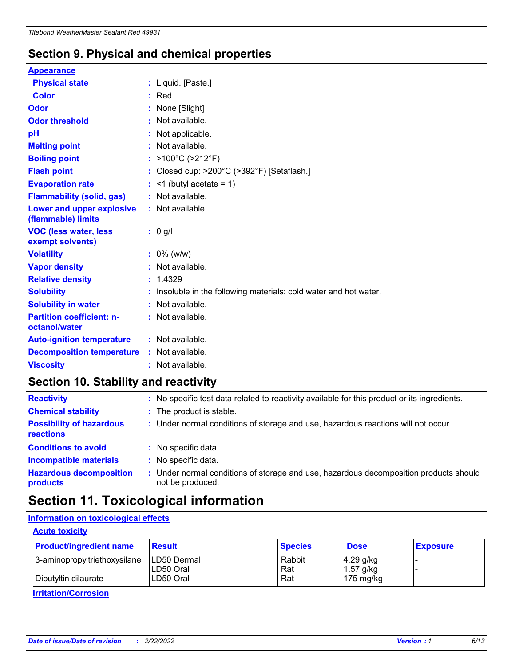### **Section 9. Physical and chemical properties**

#### **Appearance**

| <b>Physical state</b>                             | : Liquid. [Paste.]                                              |
|---------------------------------------------------|-----------------------------------------------------------------|
| Color                                             | $:$ Red.                                                        |
| Odor                                              | : None [Slight]                                                 |
| <b>Odor threshold</b>                             | : Not available.                                                |
| рH                                                | : Not applicable.                                               |
| <b>Melting point</b>                              | : Not available.                                                |
| <b>Boiling point</b>                              | : >100°C (>212°F)                                               |
| <b>Flash point</b>                                | : Closed cup: $>200^{\circ}$ C ( $>392^{\circ}$ F) [Setaflash.] |
| <b>Evaporation rate</b>                           | $:$ <1 (butyl acetate = 1)                                      |
| <b>Flammability (solid, gas)</b>                  | : Not available.                                                |
| Lower and upper explosive<br>(flammable) limits   | : Not available.                                                |
| <b>VOC (less water, less</b><br>exempt solvents)  | $: 0$ g/l                                                       |
|                                                   |                                                                 |
| <b>Volatility</b>                                 | $: 0\%$ (w/w)                                                   |
| <b>Vapor density</b>                              | : Not available.                                                |
| <b>Relative density</b>                           | : 1.4329                                                        |
| <b>Solubility</b>                                 | Insoluble in the following materials: cold water and hot water. |
| <b>Solubility in water</b>                        | : Not available.                                                |
| <b>Partition coefficient: n-</b><br>octanol/water | $:$ Not available.                                              |
| <b>Auto-ignition temperature</b>                  | : Not available.                                                |
| <b>Decomposition temperature</b>                  | : Not available.                                                |

### **Section 10. Stability and reactivity**

| <b>Reactivity</b>                            | : No specific test data related to reactivity available for this product or its ingredients.            |
|----------------------------------------------|---------------------------------------------------------------------------------------------------------|
| <b>Chemical stability</b>                    | : The product is stable.                                                                                |
| <b>Possibility of hazardous</b><br>reactions | : Under normal conditions of storage and use, hazardous reactions will not occur.                       |
| <b>Conditions to avoid</b>                   | : No specific data.                                                                                     |
| <b>Incompatible materials</b>                | : No specific data.                                                                                     |
| <b>Hazardous decomposition</b><br>products   | Under normal conditions of storage and use, hazardous decomposition products should<br>not be produced. |

## **Section 11. Toxicological information**

### **Information on toxicological effects**

#### **Acute toxicity**

| <b>Product/ingredient name</b> | <b>Result</b>           | <b>Species</b> | <b>Dose</b>                | <b>Exposure</b> |
|--------------------------------|-------------------------|----------------|----------------------------|-----------------|
| 3-aminopropyltriethoxysilane   | <b>ILD50 Dermal</b>     | Rabbit         | 4.29 g/kg                  |                 |
| Dibutyltin dilaurate           | ILD50 Oral<br>LD50 Oral | Rat<br>Rat     | $1.57$ g/kg<br>175 $mg/kg$ |                 |
|                                |                         |                |                            |                 |

**Irritation/Corrosion**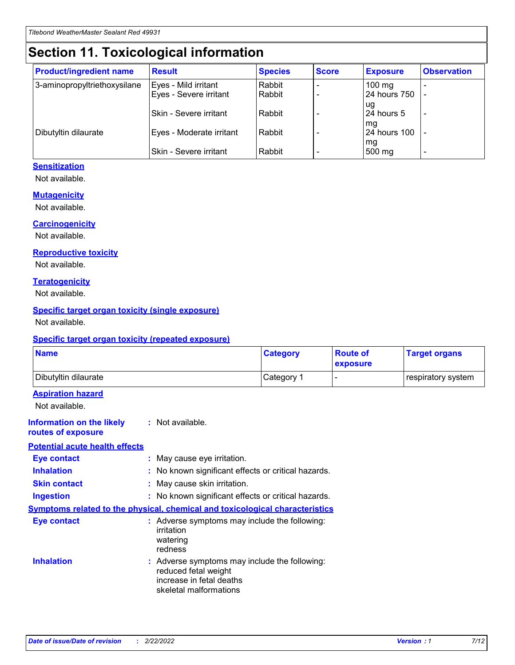## **Section 11. Toxicological information**

| <b>Product/ingredient name</b> | <b>Result</b>            | <b>Species</b> | <b>Score</b> | <b>Exposure</b>           | <b>Observation</b> |
|--------------------------------|--------------------------|----------------|--------------|---------------------------|--------------------|
| 3-aminopropyltriethoxysilane   | Eyes - Mild irritant     | Rabbit         |              | $100$ mg                  |                    |
|                                | Eyes - Severe irritant   | Rabbit         |              | 24 hours 750              |                    |
|                                |                          |                |              | ug                        |                    |
|                                | Skin - Severe irritant   | Rabbit         |              | 24 hours 5                | -                  |
| Dibutyltin dilaurate           | Eyes - Moderate irritant | Rabbit         |              | mq<br><b>24 hours 100</b> |                    |
|                                |                          |                |              | mg                        |                    |
|                                | Skin - Severe irritant   | Rabbit         |              | 500 mg                    |                    |

#### **Sensitization**

Not available.

#### **Mutagenicity**

Not available.

#### **Carcinogenicity**

Not available.

#### **Reproductive toxicity**

Not available.

#### **Teratogenicity**

Not available.

#### **Specific target organ toxicity (single exposure)**

Not available.

#### **Specific target organ toxicity (repeated exposure)**

| <b>Name</b>                                                                         |                                                                            | <b>Category</b>                                     | <b>Route of</b><br>exposure | <b>Target organs</b> |
|-------------------------------------------------------------------------------------|----------------------------------------------------------------------------|-----------------------------------------------------|-----------------------------|----------------------|
| Dibutyltin dilaurate                                                                |                                                                            | Category 1                                          |                             | respiratory system   |
| <b>Aspiration hazard</b><br>Not available.                                          |                                                                            |                                                     |                             |                      |
| <b>Information on the likely</b><br>routes of exposure                              | : Not available.                                                           |                                                     |                             |                      |
| <b>Potential acute health effects</b>                                               |                                                                            |                                                     |                             |                      |
| <b>Eye contact</b>                                                                  | : May cause eye irritation.                                                |                                                     |                             |                      |
| <b>Inhalation</b>                                                                   |                                                                            | : No known significant effects or critical hazards. |                             |                      |
| <b>Skin contact</b>                                                                 | : May cause skin irritation.                                               |                                                     |                             |                      |
| <b>Ingestion</b>                                                                    |                                                                            | : No known significant effects or critical hazards. |                             |                      |
| <b>Symptoms related to the physical, chemical and toxicological characteristics</b> |                                                                            |                                                     |                             |                      |
| <b>Eye contact</b>                                                                  | irritation<br>watering<br>redness                                          | : Adverse symptoms may include the following:       |                             |                      |
| <b>Inhalation</b>                                                                   | reduced fetal weight<br>increase in fetal deaths<br>skeletal malformations | : Adverse symptoms may include the following:       |                             |                      |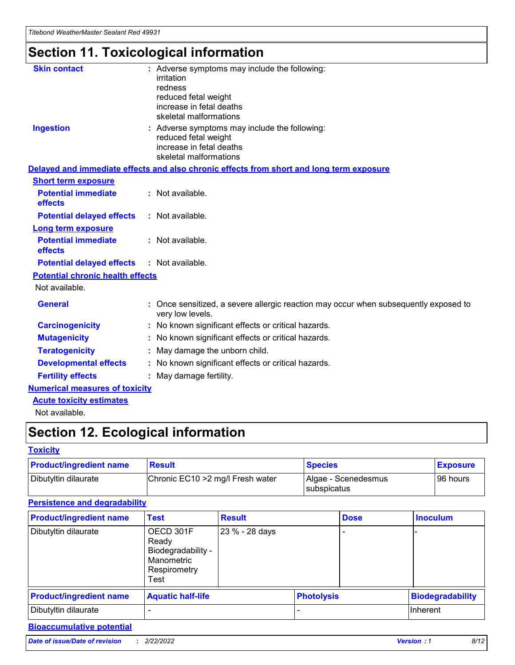## **Section 11. Toxicological information**

| <b>Skin contact</b>                     |                                                                                                          |
|-----------------------------------------|----------------------------------------------------------------------------------------------------------|
|                                         | : Adverse symptoms may include the following:<br>irritation                                              |
|                                         | redness                                                                                                  |
|                                         | reduced fetal weight                                                                                     |
|                                         | increase in fetal deaths                                                                                 |
|                                         | skeletal malformations                                                                                   |
| <b>Ingestion</b>                        | : Adverse symptoms may include the following:                                                            |
|                                         | reduced fetal weight                                                                                     |
|                                         | increase in fetal deaths                                                                                 |
|                                         | skeletal malformations                                                                                   |
|                                         | Delayed and immediate effects and also chronic effects from short and long term exposure                 |
| <b>Short term exposure</b>              |                                                                                                          |
| <b>Potential immediate</b>              | : Not available.                                                                                         |
| effects                                 |                                                                                                          |
| <b>Potential delayed effects</b>        | : Not available.                                                                                         |
| <b>Long term exposure</b>               |                                                                                                          |
| <b>Potential immediate</b>              | : Not available.                                                                                         |
| effects                                 |                                                                                                          |
| <b>Potential delayed effects</b>        | : Not available.                                                                                         |
| <b>Potential chronic health effects</b> |                                                                                                          |
| Not available.                          |                                                                                                          |
| <b>General</b>                          | : Once sensitized, a severe allergic reaction may occur when subsequently exposed to<br>very low levels. |
| <b>Carcinogenicity</b>                  | : No known significant effects or critical hazards.                                                      |
| <b>Mutagenicity</b>                     | No known significant effects or critical hazards.                                                        |
| <b>Teratogenicity</b>                   | May damage the unborn child.                                                                             |
| <b>Developmental effects</b>            | No known significant effects or critical hazards.                                                        |
| <b>Fertility effects</b>                | : May damage fertility.                                                                                  |
| <b>Numerical measures of toxicity</b>   |                                                                                                          |
| <b>Acute toxicity estimates</b>         |                                                                                                          |
|                                         |                                                                                                          |

Not available.

## **Section 12. Ecological information**

#### **Toxicity**

| <b>Product/ingredient name</b> | <b>Result</b>                     | <b>Species</b>                       | <b>Exposure</b> |
|--------------------------------|-----------------------------------|--------------------------------------|-----------------|
| Dibutyltin dilaurate           | Chronic EC10 > 2 mg/l Fresh water | Algae - Scenedesmus<br>I subspicatus | l 96 hours      |

### **Persistence and degradability**

| <b>Product/ingredient name</b> | <b>Test</b>                                                                    | <b>Result</b>  |                   | <b>Dose</b> | <b>Inoculum</b>         |
|--------------------------------|--------------------------------------------------------------------------------|----------------|-------------------|-------------|-------------------------|
| Dibutyltin dilaurate           | OECD 301F<br>Ready<br>Biodegradability -<br>Manometric<br>Respirometry<br>Test | 23 % - 28 days |                   |             |                         |
| <b>Product/ingredient name</b> | <b>Aquatic half-life</b>                                                       |                | <b>Photolysis</b> |             | <b>Biodegradability</b> |
| Dibutyltin dilaurate           |                                                                                |                |                   |             | Inherent                |

### **Bioaccumulative potential**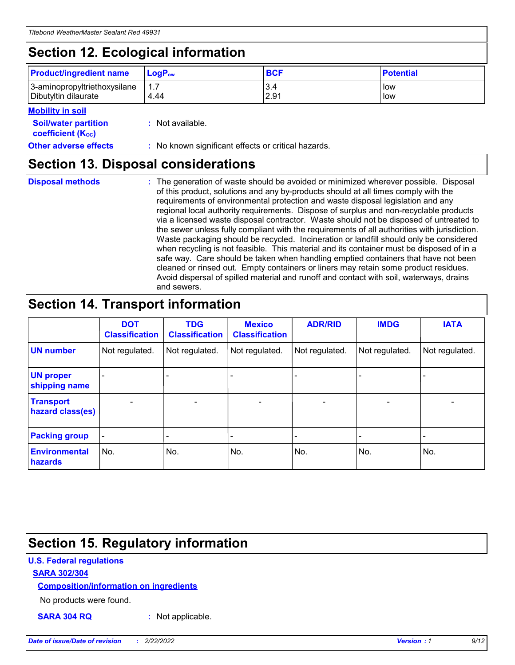## **Section 12. Ecological information**

| <b>Product/ingredient name</b>                       | ∣LoqP <sub>ow</sub> | <b>BCF</b>  | <b>Potential</b> |
|------------------------------------------------------|---------------------|-------------|------------------|
| 3-aminopropyltriethoxysilane<br>Dibutyltin dilaurate | 4.44                | 3.4<br>2.91 | low<br>low       |

#### **Mobility in soil**

| <b>Soil/water partition</b><br>coefficient (K <sub>oc</sub> ) | : Not available.                                    |
|---------------------------------------------------------------|-----------------------------------------------------|
| <b>Other adverse effects</b>                                  | : No known significant effects or critical hazards. |

### **Section 13. Disposal considerations**

| <b>Disposal methods</b> |  |  |
|-------------------------|--|--|

**Disposal methods** : The generation of waste should be avoided or minimized wherever possible. Disposal of this product, solutions and any by-products should at all times comply with the requirements of environmental protection and waste disposal legislation and any regional local authority requirements. Dispose of surplus and non-recyclable products via a licensed waste disposal contractor. Waste should not be disposed of untreated to the sewer unless fully compliant with the requirements of all authorities with jurisdiction. Waste packaging should be recycled. Incineration or landfill should only be considered when recycling is not feasible. This material and its container must be disposed of in a safe way. Care should be taken when handling emptied containers that have not been cleaned or rinsed out. Empty containers or liners may retain some product residues. Avoid dispersal of spilled material and runoff and contact with soil, waterways, drains and sewers.

## **Section 14. Transport information**

|                                      | <b>DOT</b><br><b>Classification</b> | <b>TDG</b><br><b>Classification</b> | <b>Mexico</b><br><b>Classification</b> | <b>ADR/RID</b>           | <b>IMDG</b>              | <b>IATA</b>    |
|--------------------------------------|-------------------------------------|-------------------------------------|----------------------------------------|--------------------------|--------------------------|----------------|
| <b>UN number</b>                     | Not regulated.                      | Not regulated.                      | Not regulated.                         | Not regulated.           | Not regulated.           | Not regulated. |
| <b>UN proper</b><br>shipping name    | $\blacksquare$                      |                                     |                                        |                          |                          |                |
| <b>Transport</b><br>hazard class(es) | $\blacksquare$                      | $\overline{\phantom{a}}$            | $\overline{\phantom{a}}$               | $\overline{\phantom{a}}$ | $\overline{\phantom{a}}$ | $\blacksquare$ |
| <b>Packing group</b>                 | $\overline{\phantom{a}}$            | -                                   | -                                      | -                        |                          | -              |
| <b>Environmental</b><br>hazards      | No.                                 | No.                                 | No.                                    | No.                      | No.                      | No.            |

### **Section 15. Regulatory information**

#### **U.S. Federal regulations**

#### **SARA 302/304**

#### **Composition/information on ingredients**

No products were found.

**SARA 304 RQ :** Not applicable.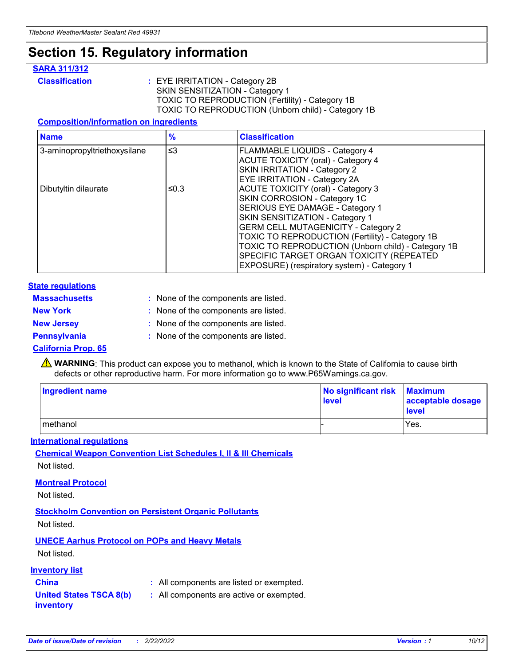## **Section 15. Regulatory information**

#### **SARA 311/312**

**Classification :** EYE IRRITATION - Category 2B SKIN SENSITIZATION - Category 1 TOXIC TO REPRODUCTION (Fertility) - Category 1B TOXIC TO REPRODUCTION (Unborn child) - Category 1B

#### **Composition/information on ingredients**

| <b>Name</b>                  | $\frac{9}{6}$ | <b>Classification</b>                                                                                            |
|------------------------------|---------------|------------------------------------------------------------------------------------------------------------------|
| 3-aminopropyltriethoxysilane | $\leq$ 3      | <b>FLAMMABLE LIQUIDS - Category 4</b><br><b>ACUTE TOXICITY (oral) - Category 4</b>                               |
|                              |               | SKIN IRRITATION - Category 2<br>EYE IRRITATION - Category 2A                                                     |
| Dibutyltin dilaurate         | ≤0.3          | ACUTE TOXICITY (oral) - Category 3<br>SKIN CORROSION - Category 1C                                               |
|                              |               | SERIOUS EYE DAMAGE - Category 1<br>SKIN SENSITIZATION - Category 1<br><b>GERM CELL MUTAGENICITY - Category 2</b> |
|                              |               | TOXIC TO REPRODUCTION (Fertility) - Category 1B<br>TOXIC TO REPRODUCTION (Unborn child) - Category 1B            |
|                              |               | SPECIFIC TARGET ORGAN TOXICITY (REPEATED<br>EXPOSURE) (respiratory system) - Category 1                          |

#### **State regulations**

| <b>Massachusetts</b> | : None of the components are listed. |
|----------------------|--------------------------------------|
| <b>New York</b>      | : None of the components are listed. |
| <b>New Jersey</b>    | : None of the components are listed. |
| <b>Pennsylvania</b>  | : None of the components are listed. |

#### **California Prop. 65**

**A** WARNING: This product can expose you to methanol, which is known to the State of California to cause birth defects or other reproductive harm. For more information go to www.P65Warnings.ca.gov.

| <b>Ingredient name</b> | No significant risk Maximum<br>level | acceptable dosage<br>level |
|------------------------|--------------------------------------|----------------------------|
| methanol               |                                      | Yes.                       |

#### **International regulations**

**Chemical Weapon Convention List Schedules I, II & III Chemicals** Not listed.

#### **Montreal Protocol**

Not listed.

**Stockholm Convention on Persistent Organic Pollutants**

Not listed.

### **UNECE Aarhus Protocol on POPs and Heavy Metals**

Not listed.

#### **Inventory list**

### **China :** All components are listed or exempted.

**United States TSCA 8(b) inventory :** All components are active or exempted.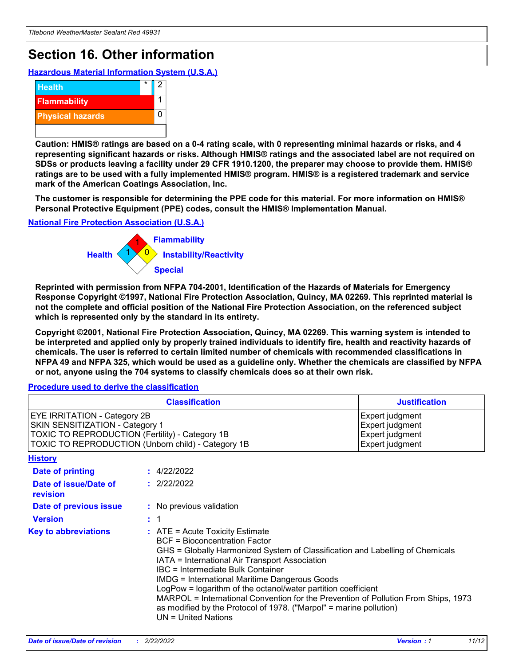## **Section 16. Other information**

**Hazardous Material Information System (U.S.A.)**



**Caution: HMIS® ratings are based on a 0-4 rating scale, with 0 representing minimal hazards or risks, and 4 representing significant hazards or risks. Although HMIS® ratings and the associated label are not required on SDSs or products leaving a facility under 29 CFR 1910.1200, the preparer may choose to provide them. HMIS® ratings are to be used with a fully implemented HMIS® program. HMIS® is a registered trademark and service mark of the American Coatings Association, Inc.**

**The customer is responsible for determining the PPE code for this material. For more information on HMIS® Personal Protective Equipment (PPE) codes, consult the HMIS® Implementation Manual.**

#### **National Fire Protection Association (U.S.A.)**



**Reprinted with permission from NFPA 704-2001, Identification of the Hazards of Materials for Emergency Response Copyright ©1997, National Fire Protection Association, Quincy, MA 02269. This reprinted material is not the complete and official position of the National Fire Protection Association, on the referenced subject which is represented only by the standard in its entirety.**

**Copyright ©2001, National Fire Protection Association, Quincy, MA 02269. This warning system is intended to be interpreted and applied only by properly trained individuals to identify fire, health and reactivity hazards of chemicals. The user is referred to certain limited number of chemicals with recommended classifications in NFPA 49 and NFPA 325, which would be used as a guideline only. Whether the chemicals are classified by NFPA or not, anyone using the 704 systems to classify chemicals does so at their own risk.**

#### **Procedure used to derive the classification**

|                                                                                                                                                                                 | <b>Classification</b>                                                                                                                                                                                                                                                                                                                                                                                                                                                                                                                                                           | <b>Justification</b>                                                     |  |
|---------------------------------------------------------------------------------------------------------------------------------------------------------------------------------|---------------------------------------------------------------------------------------------------------------------------------------------------------------------------------------------------------------------------------------------------------------------------------------------------------------------------------------------------------------------------------------------------------------------------------------------------------------------------------------------------------------------------------------------------------------------------------|--------------------------------------------------------------------------|--|
| <b>EYE IRRITATION - Category 2B</b><br>SKIN SENSITIZATION - Category 1<br>TOXIC TO REPRODUCTION (Fertility) - Category 1B<br>TOXIC TO REPRODUCTION (Unborn child) - Category 1B |                                                                                                                                                                                                                                                                                                                                                                                                                                                                                                                                                                                 | Expert judgment<br>Expert judgment<br>Expert judgment<br>Expert judgment |  |
| <b>History</b>                                                                                                                                                                  |                                                                                                                                                                                                                                                                                                                                                                                                                                                                                                                                                                                 |                                                                          |  |
| <b>Date of printing</b>                                                                                                                                                         | : 4/22/2022                                                                                                                                                                                                                                                                                                                                                                                                                                                                                                                                                                     |                                                                          |  |
| Date of issue/Date of<br>revision                                                                                                                                               | : 2/22/2022                                                                                                                                                                                                                                                                                                                                                                                                                                                                                                                                                                     |                                                                          |  |
| Date of previous issue                                                                                                                                                          | : No previous validation                                                                                                                                                                                                                                                                                                                                                                                                                                                                                                                                                        |                                                                          |  |
| <b>Version</b>                                                                                                                                                                  | $\therefore$ 1                                                                                                                                                                                                                                                                                                                                                                                                                                                                                                                                                                  |                                                                          |  |
| <b>Key to abbreviations</b>                                                                                                                                                     | $\therefore$ ATE = Acute Toxicity Estimate<br><b>BCF</b> = Bioconcentration Factor<br>GHS = Globally Harmonized System of Classification and Labelling of Chemicals<br>IATA = International Air Transport Association<br><b>IBC</b> = Intermediate Bulk Container<br><b>IMDG = International Maritime Dangerous Goods</b><br>LogPow = logarithm of the octanol/water partition coefficient<br>MARPOL = International Convention for the Prevention of Pollution From Ships, 1973<br>as modified by the Protocol of 1978. ("Marpol" = marine pollution)<br>$UN = United Nations$ |                                                                          |  |